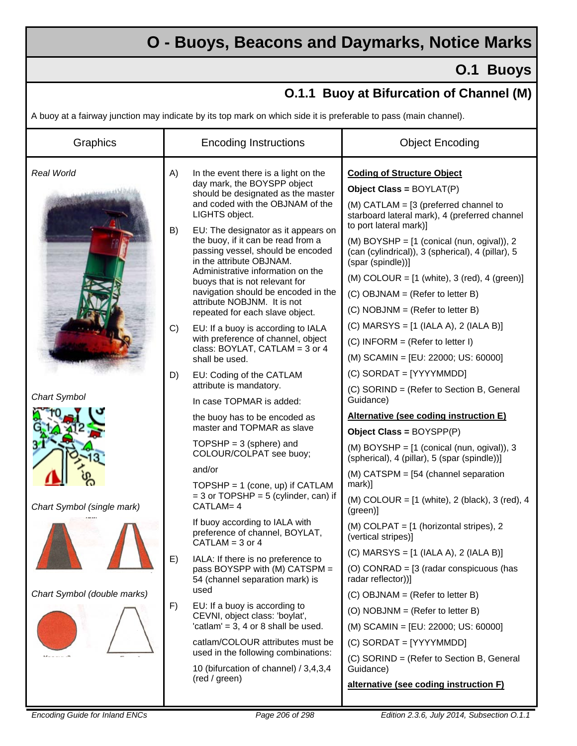## **O - Buoys, Beacons and Daymarks, Notice Marks**

## **O.1 Buoys**

## **O.1.1 Buoy at Bifurcation of Channel (M)**

A buoy at a fairway junction may indicate by its top mark on which side it is preferable to pass (main channel).

| Graphics                    |    | <b>Encoding Instructions</b>                                                                                                                                                                                                                                                                                               | <b>Object Encoding</b>                                                                                                                         |
|-----------------------------|----|----------------------------------------------------------------------------------------------------------------------------------------------------------------------------------------------------------------------------------------------------------------------------------------------------------------------------|------------------------------------------------------------------------------------------------------------------------------------------------|
| Real World                  | A) | In the event there is a light on the<br>day mark, the BOYSPP object<br>should be designated as the master<br>and coded with the OBJNAM of the<br>LIGHTS object.                                                                                                                                                            | <b>Coding of Structure Object</b><br>Object Class = BOYLAT(P)                                                                                  |
|                             |    |                                                                                                                                                                                                                                                                                                                            | $(M)$ CATLAM = [3 (preferred channel to<br>starboard lateral mark), 4 (preferred channel                                                       |
|                             | B) | EU: The designator as it appears on<br>the buoy, if it can be read from a<br>passing vessel, should be encoded<br>in the attribute OBJNAM.<br>Administrative information on the<br>buoys that is not relevant for<br>navigation should be encoded in the<br>attribute NOBJNM. It is not<br>repeated for each slave object. | to port lateral mark)]<br>(M) BOYSHP = [1 (conical (nun, ogival)), 2<br>(can (cylindrical)), 3 (spherical), 4 (pillar), 5<br>(spar (spindle))] |
|                             |    |                                                                                                                                                                                                                                                                                                                            | (M) COLOUR = $[1 \text{ (white)}$ , 3 (red), 4 (green)]                                                                                        |
|                             |    |                                                                                                                                                                                                                                                                                                                            | (C) OBJNAM = (Refer to letter B)                                                                                                               |
|                             |    |                                                                                                                                                                                                                                                                                                                            | $(C) NOBJNM = (Refer to letter B)$                                                                                                             |
|                             | C) | EU: If a buoy is according to IALA<br>with preference of channel, object<br>class: BOYLAT, CATLAM = 3 or 4<br>shall be used.                                                                                                                                                                                               | (C) MARSYS = $[1$ (IALA A), 2 (IALA B)]                                                                                                        |
|                             |    |                                                                                                                                                                                                                                                                                                                            | $(C)$ INFORM = (Refer to letter I)                                                                                                             |
|                             |    |                                                                                                                                                                                                                                                                                                                            | (M) SCAMIN = [EU: 22000; US: 60000]                                                                                                            |
|                             | D) | EU: Coding of the CATLAM                                                                                                                                                                                                                                                                                                   | $(C)$ SORDAT = [YYYYMMDD]                                                                                                                      |
| <b>Chart Symbol</b>         |    | attribute is mandatory.                                                                                                                                                                                                                                                                                                    | (C) SORIND = (Refer to Section B, General<br>Guidance)                                                                                         |
|                             |    | In case TOPMAR is added:                                                                                                                                                                                                                                                                                                   | Alternative (see coding instruction E)                                                                                                         |
|                             |    | the buoy has to be encoded as<br>master and TOPMAR as slave                                                                                                                                                                                                                                                                | Object Class = BOYSPP(P)                                                                                                                       |
|                             |    | TOPSHP = $3$ (sphere) and<br>COLOUR/COLPAT see buoy;                                                                                                                                                                                                                                                                       | (M) BOYSHP = [1 (conical (nun, ogival)), 3<br>(spherical), 4 (pillar), 5 (spar (spindle))]                                                     |
|                             |    | and/or                                                                                                                                                                                                                                                                                                                     | (M) CATSPM = [54 (channel separation                                                                                                           |
|                             |    | TOPSHP = $1$ (cone, up) if CATLAM<br>$=$ 3 or TOPSHP = 5 (cylinder, can) if                                                                                                                                                                                                                                                | mark)]                                                                                                                                         |
| Chart Symbol (single mark)  |    | CATLAM= 4                                                                                                                                                                                                                                                                                                                  | (M) COLOUR = $[1 \text{ (white)}$ , 2 (black), 3 (red), 4<br>(green)]                                                                          |
|                             | E) | If buoy according to IALA with<br>preference of channel, BOYLAT,<br>$CATLAM = 3$ or $4$                                                                                                                                                                                                                                    | (M) COLPAT = [1 (horizontal stripes), 2<br>(vertical stripes)]                                                                                 |
|                             |    | IALA: If there is no preference to<br>pass BOYSPP with (M) CATSPM =<br>54 (channel separation mark) is                                                                                                                                                                                                                     | $(C)$ MARSYS = $[1$ (IALA A), 2 (IALA B)]                                                                                                      |
|                             |    |                                                                                                                                                                                                                                                                                                                            | (O) CONRAD = $[3$ (radar conspicuous (has<br>radar reflector))]                                                                                |
| Chart Symbol (double marks) |    | used                                                                                                                                                                                                                                                                                                                       | (C) OBJNAM = (Refer to letter B)                                                                                                               |
|                             | F) | EU: If a buoy is according to<br>CEVNI, object class: 'boylat',<br>'catlam' = $3, 4$ or 8 shall be used.                                                                                                                                                                                                                   | (O) NOBJNM = (Refer to letter B)                                                                                                               |
|                             |    |                                                                                                                                                                                                                                                                                                                            | (M) SCAMIN = [EU: 22000; US: 60000]                                                                                                            |
|                             |    | catlam/COLOUR attributes must be                                                                                                                                                                                                                                                                                           | $(C)$ SORDAT = [YYYYMMDD]                                                                                                                      |
|                             |    | used in the following combinations:<br>10 (bifurcation of channel) / 3,4,3,4<br>(red / green)                                                                                                                                                                                                                              | (C) SORIND = (Refer to Section B, General<br>Guidance)                                                                                         |
|                             |    |                                                                                                                                                                                                                                                                                                                            | alternative (see coding instruction F)                                                                                                         |
|                             |    |                                                                                                                                                                                                                                                                                                                            |                                                                                                                                                |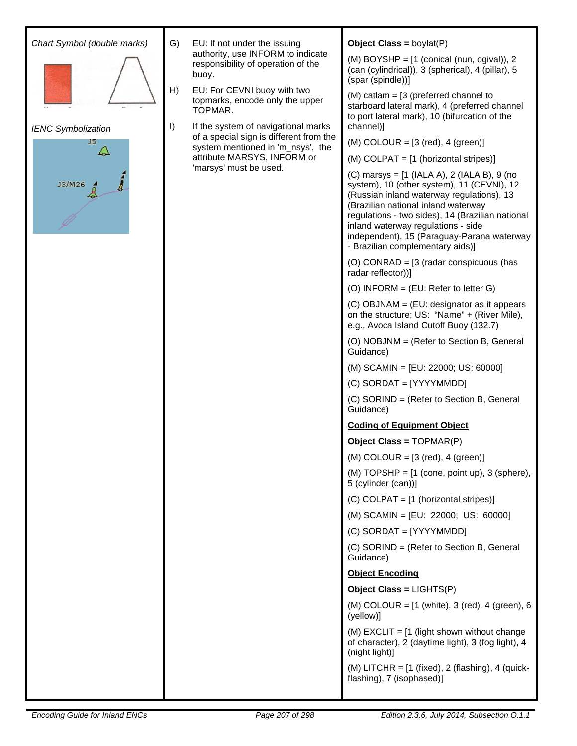| Chart Symbol (double marks)                      | G)       | EU: If not under the issuing<br>authority, use INFORM to indicate<br>responsibility of operation of the<br>buoy.<br>EU: For CEVNI buoy with two<br>topmarks, encode only the upper<br>TOPMAR.<br>If the system of navigational marks<br>of a special sign is different from the<br>system mentioned in 'm_nsys', the<br>attribute MARSYS, INFORM or<br>'marsys' must be used. | <b>Object Class = boylat(P)</b>                                                                                                                                                                                                                                                                                                                           |
|--------------------------------------------------|----------|-------------------------------------------------------------------------------------------------------------------------------------------------------------------------------------------------------------------------------------------------------------------------------------------------------------------------------------------------------------------------------|-----------------------------------------------------------------------------------------------------------------------------------------------------------------------------------------------------------------------------------------------------------------------------------------------------------------------------------------------------------|
| <b>IENC Symbolization</b><br>J5<br>Q<br>J3/M26 4 | H)<br>I) |                                                                                                                                                                                                                                                                                                                                                                               | (M) BOYSHP = [1 (conical (nun, ogival)), 2<br>(can (cylindrical)), 3 (spherical), 4 (pillar), 5<br>(spar (spindle))]                                                                                                                                                                                                                                      |
|                                                  |          |                                                                                                                                                                                                                                                                                                                                                                               | $(M)$ catlam = $[3$ (preferred channel to<br>starboard lateral mark), 4 (preferred channel<br>to port lateral mark), 10 (bifurcation of the<br>channel)]                                                                                                                                                                                                  |
|                                                  |          |                                                                                                                                                                                                                                                                                                                                                                               | $(M)$ COLOUR = [3 (red), 4 (green)]                                                                                                                                                                                                                                                                                                                       |
|                                                  |          |                                                                                                                                                                                                                                                                                                                                                                               | (M) COLPAT = [1 (horizontal stripes)]                                                                                                                                                                                                                                                                                                                     |
|                                                  |          |                                                                                                                                                                                                                                                                                                                                                                               | (C) marsys = [1 (IALA A), 2 (IALA B), 9 (no<br>system), 10 (other system), 11 (CEVNI), 12<br>(Russian inland waterway regulations), 13<br>(Brazilian national inland waterway<br>regulations - two sides), 14 (Brazilian national<br>inland waterway regulations - side<br>independent), 15 (Paraguay-Parana waterway<br>- Brazilian complementary aids)] |
|                                                  |          |                                                                                                                                                                                                                                                                                                                                                                               | (O) CONRAD = [3 (radar conspicuous (has<br>radar reflector))]                                                                                                                                                                                                                                                                                             |
|                                                  |          |                                                                                                                                                                                                                                                                                                                                                                               | (O) INFORM = $(EU:$ Refer to letter G)                                                                                                                                                                                                                                                                                                                    |
|                                                  |          |                                                                                                                                                                                                                                                                                                                                                                               | (C) OBJNAM = (EU: designator as it appears<br>on the structure; US: "Name" + (River Mile),<br>e.g., Avoca Island Cutoff Buoy (132.7)                                                                                                                                                                                                                      |
|                                                  |          |                                                                                                                                                                                                                                                                                                                                                                               | (O) NOBJNM = (Refer to Section B, General<br>Guidance)                                                                                                                                                                                                                                                                                                    |
|                                                  |          |                                                                                                                                                                                                                                                                                                                                                                               | (M) SCAMIN = [EU: 22000; US: 60000]                                                                                                                                                                                                                                                                                                                       |
|                                                  |          |                                                                                                                                                                                                                                                                                                                                                                               | (C) SORDAT = [YYYYMMDD]                                                                                                                                                                                                                                                                                                                                   |
|                                                  |          |                                                                                                                                                                                                                                                                                                                                                                               | (C) SORIND = (Refer to Section B, General<br>Guidance)                                                                                                                                                                                                                                                                                                    |
|                                                  |          |                                                                                                                                                                                                                                                                                                                                                                               | <b>Coding of Equipment Object</b>                                                                                                                                                                                                                                                                                                                         |
|                                                  |          |                                                                                                                                                                                                                                                                                                                                                                               | Object Class = $TOPMAR(P)$                                                                                                                                                                                                                                                                                                                                |
|                                                  |          |                                                                                                                                                                                                                                                                                                                                                                               | $(M)$ COLOUR = $[3$ (red), 4 (green)]                                                                                                                                                                                                                                                                                                                     |
|                                                  |          |                                                                                                                                                                                                                                                                                                                                                                               | $(M)$ TOPSHP = $[1$ (cone, point up), 3 (sphere),<br>5 (cylinder (can))]                                                                                                                                                                                                                                                                                  |
|                                                  |          |                                                                                                                                                                                                                                                                                                                                                                               | (C) COLPAT = [1 (horizontal stripes)]                                                                                                                                                                                                                                                                                                                     |
|                                                  |          |                                                                                                                                                                                                                                                                                                                                                                               | (M) SCAMIN = [EU: 22000; US: 60000]                                                                                                                                                                                                                                                                                                                       |
|                                                  |          |                                                                                                                                                                                                                                                                                                                                                                               | $(C)$ SORDAT = [YYYYMMDD]                                                                                                                                                                                                                                                                                                                                 |
|                                                  |          |                                                                                                                                                                                                                                                                                                                                                                               | (C) SORIND = (Refer to Section B, General<br>Guidance)                                                                                                                                                                                                                                                                                                    |
|                                                  |          |                                                                                                                                                                                                                                                                                                                                                                               | <b>Object Encoding</b>                                                                                                                                                                                                                                                                                                                                    |
|                                                  |          |                                                                                                                                                                                                                                                                                                                                                                               | Object Class = $LIGHTS(P)$                                                                                                                                                                                                                                                                                                                                |
|                                                  |          |                                                                                                                                                                                                                                                                                                                                                                               | (M) COLOUR = $[1 \text{ (white)}$ , 3 (red), 4 (green), 6<br>(yellow)]                                                                                                                                                                                                                                                                                    |
|                                                  |          |                                                                                                                                                                                                                                                                                                                                                                               | (M) EXCLIT = $[1$ (light shown without change<br>of character), 2 (daytime light), 3 (fog light), 4<br>(night light)]                                                                                                                                                                                                                                     |
|                                                  |          |                                                                                                                                                                                                                                                                                                                                                                               | (M) LITCHR = $[1 \text{ (fixed)}, 2 \text{ (flashing)}, 4 \text{ (quick-)}$<br>flashing), 7 (isophased)]                                                                                                                                                                                                                                                  |
|                                                  |          |                                                                                                                                                                                                                                                                                                                                                                               |                                                                                                                                                                                                                                                                                                                                                           |